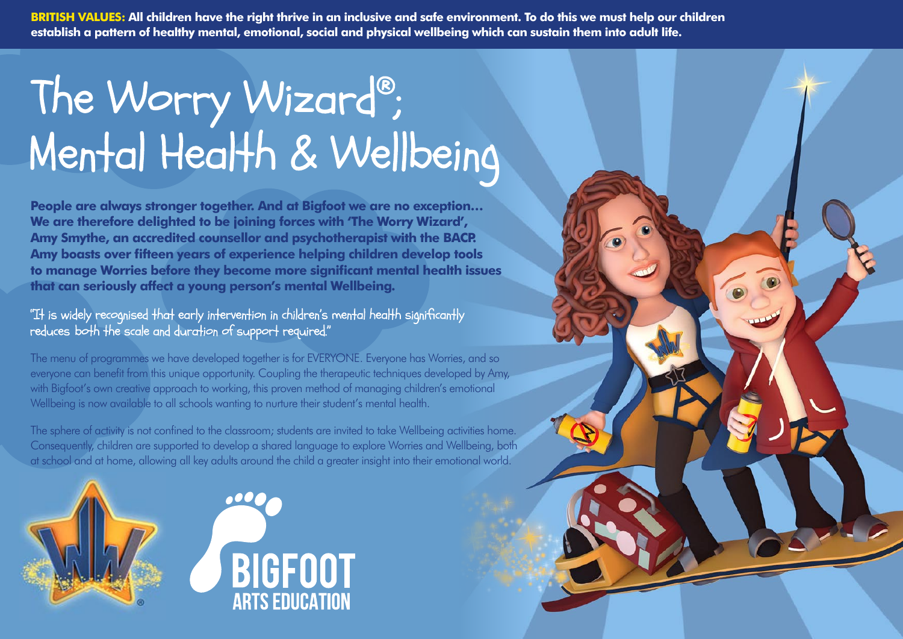**BRITISH VALUES: All children have the right thrive in an inclusive and safe environment. To do this we must help our children establish a pattern of healthy mental, emotional, social and physical wellbeing which can sustain them into adult life.**

# The Worry Wizard®;<br>Mental Health & Wellbeing

**People are always stronger together. And at Bigfoot we are no exception… We are therefore delighted to be joining forces with 'The Worry Wizard', Amy Smythe, an accredited counsellor and psychotherapist with the BACP. Amy boasts over fifteen years of experience helping children develop tools to manage Worries before they become more significant mental health issues that can seriously affect a young person's mental Wellbeing.**

"It is widely recognised that early intervention in children's mental health significantly reduces both the scale and duration of support required."

The menu of programmes we have developed together is for EVERYONE. Everyone has Worries, and so everyone can benefit from this unique opportunity. Coupling the therapeutic techniques developed by Amy, with Bigfoot's own creative approach to working, this proven method of managing children's emotional Wellbeing is now available to all schools wanting to nurture their student's mental health.

The sphere of activity is not confined to the classroom; students are invited to take Wellbeing activities home. Consequently, children are supported to develop a shared language to explore Worries and Wellbeing, both at school and at home, allowing all key adults around the child a greater insight into their emotional world.